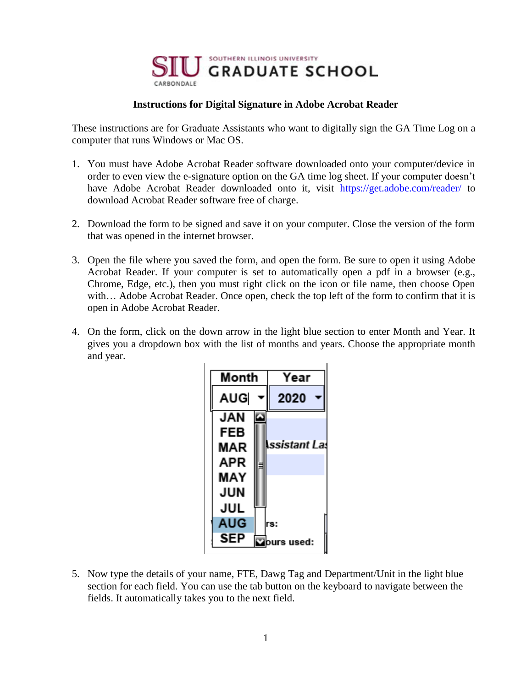

## **Instructions for Digital Signature in Adobe Acrobat Reader**

These instructions are for Graduate Assistants who want to digitally sign the GA Time Log on a computer that runs Windows or Mac OS.

- 1. You must have Adobe Acrobat Reader software downloaded onto your computer/device in order to even view the e-signature option on the GA time log sheet. If your computer doesn't have Adobe Acrobat Reader downloaded onto it, visit <https://get.adobe.com/reader/> to download Acrobat Reader software free of charge.
- 2. Download the form to be signed and save it on your computer. Close the version of the form that was opened in the internet browser.
- 3. Open the file where you saved the form, and open the form. Be sure to open it using Adobe Acrobat Reader. If your computer is set to automatically open a pdf in a browser (e.g., Chrome, Edge, etc.), then you must right click on the icon or file name, then choose Open with… Adobe Acrobat Reader. Once open, check the top left of the form to confirm that it is open in Adobe Acrobat Reader.
- 4. On the form, click on the down arrow in the light blue section to enter Month and Year. It gives you a dropdown box with the list of months and years. Choose the appropriate month and year.

| Month      | Year                 |
|------------|----------------------|
| AUG        | 2020                 |
| JAN        |                      |
| FEB        |                      |
| <b>MAR</b> | <b>Issistant Las</b> |
| APR        |                      |
| MAY        |                      |
| JUN        |                      |
| JUL        |                      |
| AUG        | rs:                  |
| SEP        | rs used:             |

5. Now type the details of your name, FTE, Dawg Tag and Department/Unit in the light blue section for each field. You can use the tab button on the keyboard to navigate between the fields. It automatically takes you to the next field.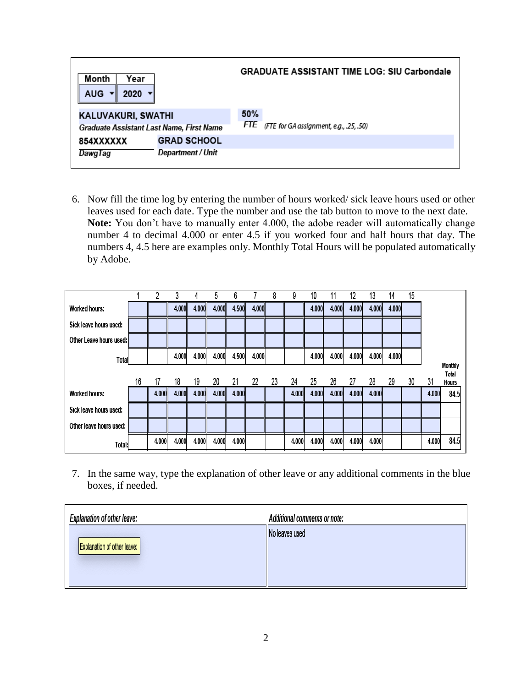| Month<br>Year<br><b>AUG</b><br>2020      | <b>GRADUATE ASSISTANT TIME LOG: SIU Carbondale</b> |
|------------------------------------------|----------------------------------------------------|
| KALUVAKURI, SWATHI                       | 50%                                                |
| Graduate Assistant Last Name, First Name | FTE (FTE for GA assignment, e.g., .25, .50)        |
| <b>GRAD SCHOOL</b><br>854XXXXXX          |                                                    |
| Department / Unit<br>DawqTaq             |                                                    |

6. Now fill the time log by entering the number of hours worked/ sick leave hours used or other leaves used for each date. Type the number and use the tab button to move to the next date. **Note:** You don't have to manually enter 4.000, the adobe reader will automatically change number 4 to decimal 4.000 or enter 4.5 if you worked four and half hours that day. The numbers 4, 4.5 here are examples only. Monthly Total Hours will be populated automatically by Adobe.

|                         |    |       |       | 4     | 5     | 6     |       | 8  | 9     | 10    | 11    | 12    | 13    | 14    | 15 |       |                       |
|-------------------------|----|-------|-------|-------|-------|-------|-------|----|-------|-------|-------|-------|-------|-------|----|-------|-----------------------|
| <b>Worked hours:</b>    |    |       | 4.000 | 4.000 | 4.000 | 4.500 | 4.000 |    |       | 4.000 | 4.000 | 4.000 | 4.000 | 4.000 |    |       |                       |
| Sick leave hours used:  |    |       |       |       |       |       |       |    |       |       |       |       |       |       |    |       |                       |
| Other Leave hours used: |    |       |       |       |       |       |       |    |       |       |       |       |       |       |    |       |                       |
| Total                   |    |       | 4.000 | 4.000 | 4.000 | 4.500 | 4.000 |    |       | 4.000 | 4.000 | 4.000 | 4.000 | 4.000 |    |       |                       |
|                         |    |       |       |       |       |       |       |    |       |       |       |       |       |       |    |       | Monthly               |
|                         | 16 | 17    | 18    | 19    | 20    | 21    | 22    | 23 | 24    | 25    | 26    | 27    | 28    | 29    | 30 | 31    | Total<br><b>Hours</b> |
| <b>Worked hours:</b>    |    | 4.000 | 4.000 | 4.000 | 4.000 | 4.000 |       |    | 4.000 | 4.000 | 4.000 | 4.000 | 4.000 |       |    | 4.000 | 84.5                  |
| Sick leave hours used:  |    |       |       |       |       |       |       |    |       |       |       |       |       |       |    |       |                       |
| Other leave hours used: |    |       |       |       |       |       |       |    |       |       |       |       |       |       |    |       |                       |
| Total:                  |    | 4.000 | 4.000 | 4.000 | 4.000 | 4.000 |       |    | 4.000 | 4.000 | 4.000 | 4.000 | 4.000 |       |    | 4.000 | 84.5                  |

7. In the same way, type the explanation of other leave or any additional comments in the blue boxes, if needed.

| <b>Explanation of other leave:</b> | <b>Additional comments or note:</b> |
|------------------------------------|-------------------------------------|
| Explanation of other leave:        | No leaves used                      |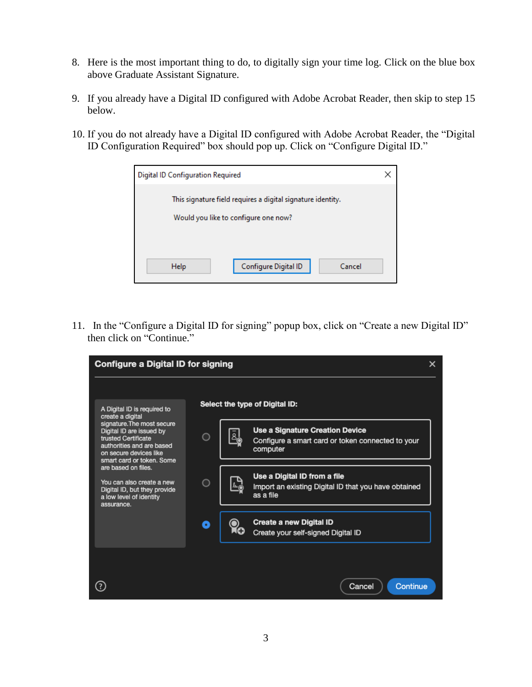- 8. Here is the most important thing to do, to digitally sign your time log. Click on the blue box above Graduate Assistant Signature.
- 9. If you already have a Digital ID configured with Adobe Acrobat Reader, then skip to step 15 below.
- 10. If you do not already have a Digital ID configured with Adobe Acrobat Reader, the "Digital ID Configuration Required" box should pop up. Click on "Configure Digital ID."



11. In the "Configure a Digital ID for signing" popup box, click on "Create a new Digital ID" then click on "Continue."

| Configure a Digital ID for signing                                                                                                                                |        |  |                                                                                                   |  |  |  |  |
|-------------------------------------------------------------------------------------------------------------------------------------------------------------------|--------|--|---------------------------------------------------------------------------------------------------|--|--|--|--|
| A Digital ID is required to<br>create a digital                                                                                                                   |        |  | Select the type of Digital ID:                                                                    |  |  |  |  |
| signature. The most secure<br>Digital ID are issued by<br>trusted Certificate<br>authorities and are based<br>on secure devices like<br>smart card or token. Some | $\Box$ |  | Use a Signature Creation Device<br>Configure a smart card or token connected to your<br>computer  |  |  |  |  |
| are based on files.<br>You can also create a new<br>Digital ID, but they provide<br>a low level of identity<br>assurance.                                         | ∩      |  | Use a Digital ID from a file<br>Import an existing Digital ID that you have obtained<br>as a file |  |  |  |  |
|                                                                                                                                                                   | O      |  | Create a new Digital ID<br>Create your self-signed Digital ID                                     |  |  |  |  |
|                                                                                                                                                                   |        |  | Continue<br>Cancel                                                                                |  |  |  |  |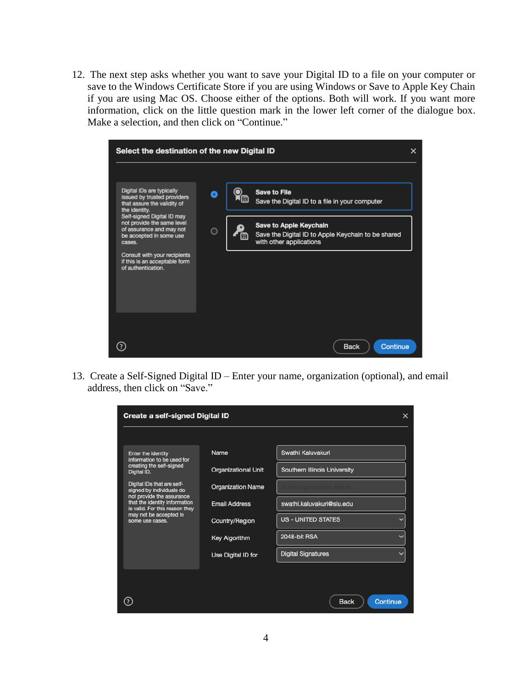12. The next step asks whether you want to save your Digital ID to a file on your computer or save to the Windows Certificate Store if you are using Windows or Save to Apple Key Chain if you are using Mac OS. Choose either of the options. Both will work. If you want more information, click on the little question mark in the lower left corner of the dialogue box. Make a selection, and then click on "Continue."



13. Create a Self-Signed Digital ID – Enter your name, organization (optional), and email address, then click on "Save."

|                                                                 | Create a self-signed Digital ID<br>×<br>Swathi Kaluvakuri<br>Name<br><b>Organizational Unit</b><br>Southern Illinois University<br><b>Organization Name</b><br>not provide the assurance<br><b>Email Address</b><br>swathi.kaluvakuri@siu.edu<br><b>US - UNITED STATES</b><br>Country/Region<br>2048-bit RSA<br><b>Key Algorithm</b><br><b>Digital Signatures</b><br>Use Digital ID for<br>Continue<br><b>Back</b> |  |  |
|-----------------------------------------------------------------|--------------------------------------------------------------------------------------------------------------------------------------------------------------------------------------------------------------------------------------------------------------------------------------------------------------------------------------------------------------------------------------------------------------------|--|--|
|                                                                 |                                                                                                                                                                                                                                                                                                                                                                                                                    |  |  |
| Enter the identity<br>information to be used for                |                                                                                                                                                                                                                                                                                                                                                                                                                    |  |  |
| creating the self-signed<br>Digital ID.                         |                                                                                                                                                                                                                                                                                                                                                                                                                    |  |  |
| Digital IDs that are self-<br>signed by individuals do          |                                                                                                                                                                                                                                                                                                                                                                                                                    |  |  |
| that the identity information<br>is valid. For this reason they |                                                                                                                                                                                                                                                                                                                                                                                                                    |  |  |
| may not be accepted in<br>some use cases.                       |                                                                                                                                                                                                                                                                                                                                                                                                                    |  |  |
|                                                                 |                                                                                                                                                                                                                                                                                                                                                                                                                    |  |  |
|                                                                 |                                                                                                                                                                                                                                                                                                                                                                                                                    |  |  |
|                                                                 |                                                                                                                                                                                                                                                                                                                                                                                                                    |  |  |
|                                                                 |                                                                                                                                                                                                                                                                                                                                                                                                                    |  |  |
| 2                                                               |                                                                                                                                                                                                                                                                                                                                                                                                                    |  |  |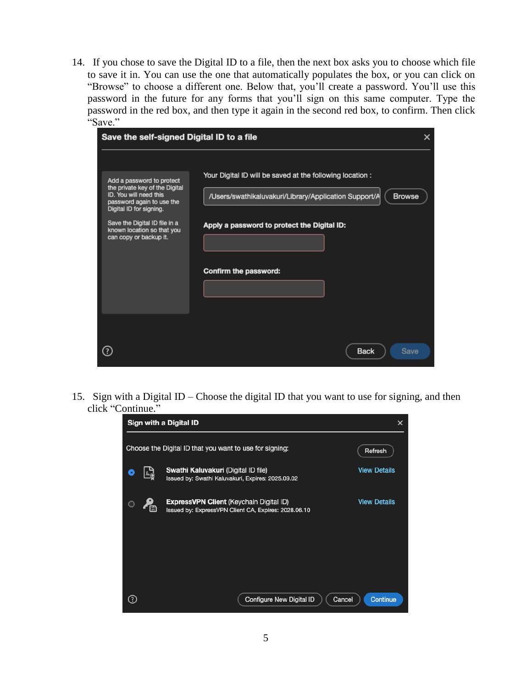14. If you chose to save the Digital ID to a file, then the next box asks you to choose which file to save it in. You can use the one that automatically populates the box, or you can click on "Browse" to choose a different one. Below that, you'll create a password. You'll use this password in the future for any forms that you'll sign on this same computer. Type the password in the red box, and then type it again in the second red box, to confirm. Then click "Save."

| Save the self-signed Digital ID to a file                                                                                                                                                                                              |                                                                                                                                                                                                             |  |  |  |  |  |  |
|----------------------------------------------------------------------------------------------------------------------------------------------------------------------------------------------------------------------------------------|-------------------------------------------------------------------------------------------------------------------------------------------------------------------------------------------------------------|--|--|--|--|--|--|
| Add a password to protect<br>the private key of the Digital<br>ID. You will need this<br>password again to use the<br>Digital ID for signing.<br>Save the Digital ID file in a<br>known location so that you<br>can copy or backup it. | Your Digital ID will be saved at the following location :<br>/Users/swathikaluvakuri/Library/Application Support/A<br><b>Browse</b><br>Apply a password to protect the Digital ID:<br>Confirm the password: |  |  |  |  |  |  |
|                                                                                                                                                                                                                                        | <b>Back</b><br>Save                                                                                                                                                                                         |  |  |  |  |  |  |

15. Sign with a Digital ID – Choose the digital ID that you want to use for signing, and then click "Continue."

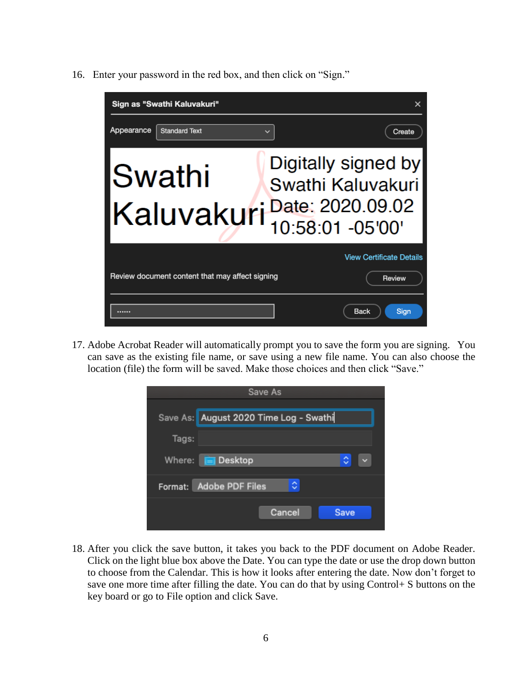16. Enter your password in the red box, and then click on "Sign."



17. Adobe Acrobat Reader will automatically prompt you to save the form you are signing. You can save as the existing file name, or save using a new file name. You can also choose the location (file) the form will be saved. Make those choices and then click "Save."

|        | Save As                                |        |             |
|--------|----------------------------------------|--------|-------------|
|        |                                        |        |             |
|        | Save As: August 2020 Time Log - Swathi |        |             |
| Tags:  |                                        |        |             |
| Where: | <b>Exercise</b> Desktop                |        | Ĉ           |
|        | Format: Adobe PDF Files                | ٥      |             |
|        |                                        | Cancel | <b>Save</b> |
|        |                                        |        |             |

18. After you click the save button, it takes you back to the PDF document on Adobe Reader. Click on the light blue box above the Date. You can type the date or use the drop down button to choose from the Calendar. This is how it looks after entering the date. Now don't forget to save one more time after filling the date. You can do that by using Control+ S buttons on the key board or go to File option and click Save.